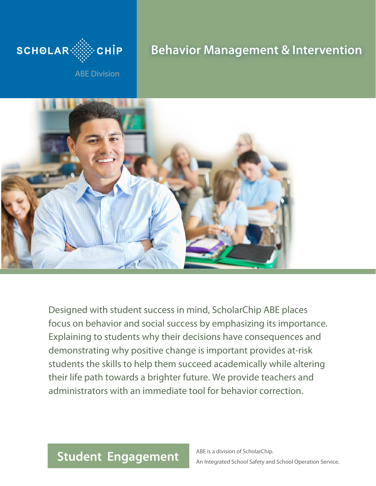

# **Behavior Management & Intervention**

ABE Division



Designed with student success in mind, ScholarChip ABE places focus on behavior and social success by emphasizing its importance. Explaining to students why their decisions have consequences and demonstrating why positive change is important provides at-risk students the skills to help them succeed academically while altering their life path towards a brighter future. We provide teachers and administrators with an immediate tool for behavior correction.

## **Student Engagement**